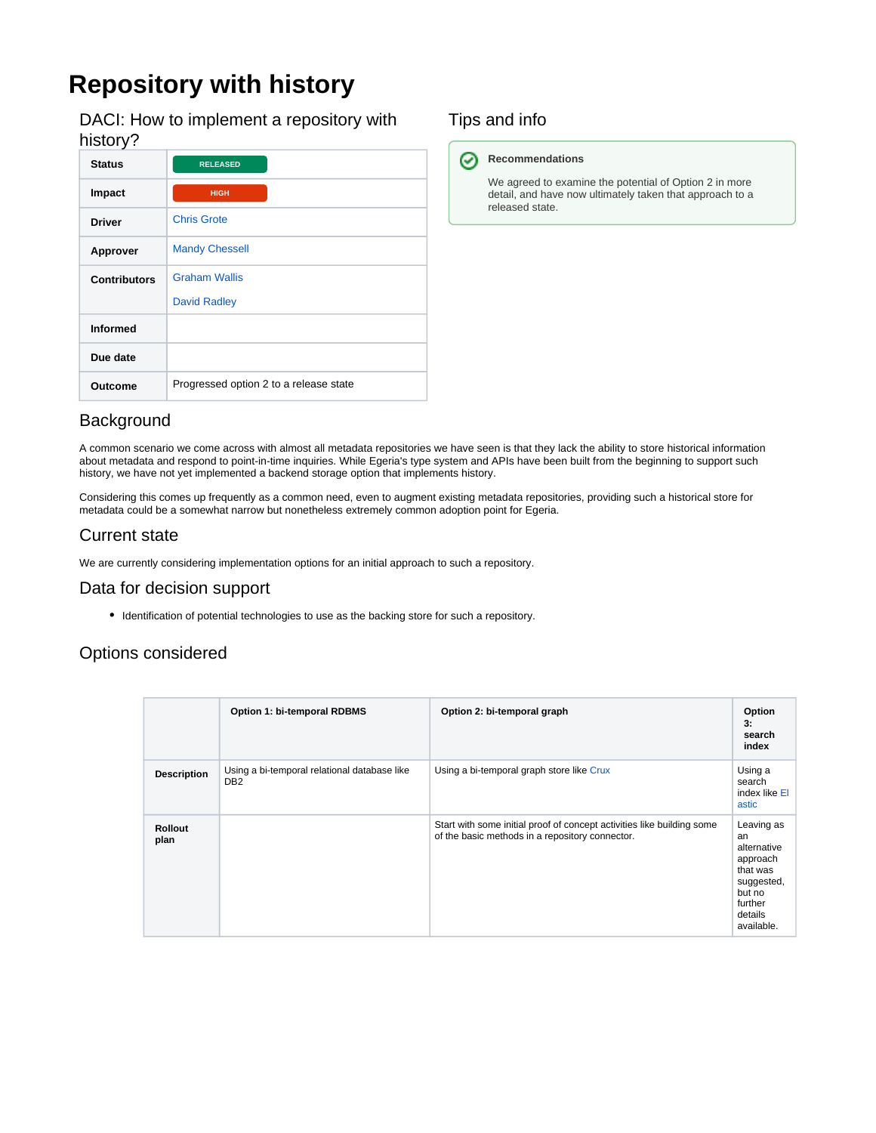# **Repository with history**

DACI: How to implement a repository with history?

| <b>Status</b>       | <b>RELEASED</b>                        |
|---------------------|----------------------------------------|
| Impact              | <b>HIGH</b>                            |
| <b>Driver</b>       | <b>Chris Grote</b>                     |
| Approver            | <b>Mandy Chessell</b>                  |
| <b>Contributors</b> | <b>Graham Wallis</b>                   |
|                     | <b>David Radley</b>                    |
| <b>Informed</b>     |                                        |
| Due date            |                                        |
| Outcome             | Progressed option 2 to a release state |

### Tips and info

#### **Recommendations** ⊘

We agreed to examine the potential of Option 2 in more detail, and have now ultimately taken that approach to a released state.

#### **Background**

A common scenario we come across with almost all metadata repositories we have seen is that they lack the ability to store historical information about metadata and respond to point-in-time inquiries. While Egeria's type system and APIs have been built from the beginning to support such history, we have not yet implemented a backend storage option that implements history.

Considering this comes up frequently as a common need, even to augment existing metadata repositories, providing such a historical store for metadata could be a somewhat narrow but nonetheless extremely common adoption point for Egeria.

#### Current state

We are currently considering implementation options for an initial approach to such a repository.

#### Data for decision support

Identification of potential technologies to use as the backing store for such a repository.

#### Options considered

|                        | <b>Option 1: bi-temporal RDBMS</b>                              | Option 2: bi-temporal graph                                                                                               | Option<br>3:<br>search<br>index                                                                                     |
|------------------------|-----------------------------------------------------------------|---------------------------------------------------------------------------------------------------------------------------|---------------------------------------------------------------------------------------------------------------------|
| <b>Description</b>     | Using a bi-temporal relational database like<br>DB <sub>2</sub> | Using a bi-temporal graph store like Crux                                                                                 | Using a<br>search<br>index like El<br>astic                                                                         |
| <b>Rollout</b><br>plan |                                                                 | Start with some initial proof of concept activities like building some<br>of the basic methods in a repository connector. | Leaving as<br>an<br>alternative<br>approach<br>that was<br>suggested,<br>but no<br>further<br>details<br>available. |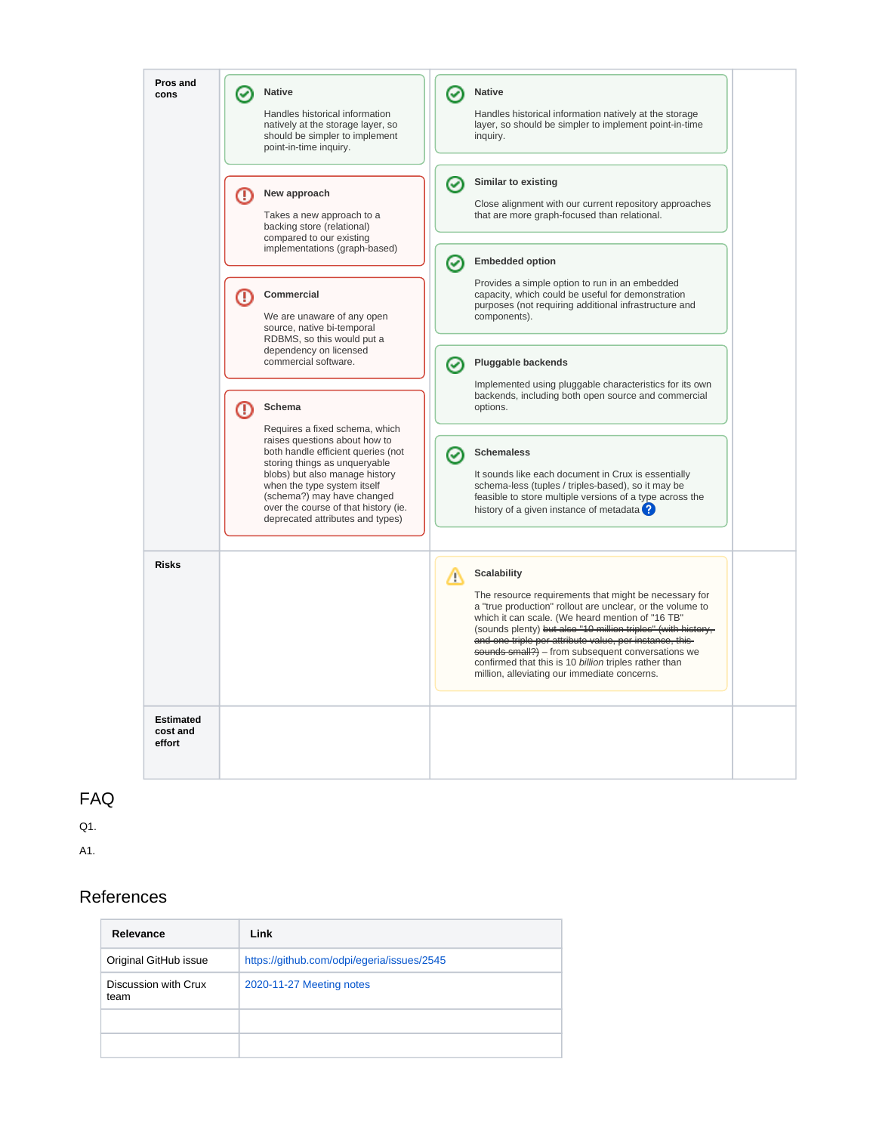

#### FAQ

Q1.

A1.

#### References

| Relevance                    | Link                                       |  |
|------------------------------|--------------------------------------------|--|
| Original GitHub issue        | https://github.com/odpi/egeria/issues/2545 |  |
| Discussion with Crux<br>team | 2020-11-27 Meeting notes                   |  |
|                              |                                            |  |
|                              |                                            |  |